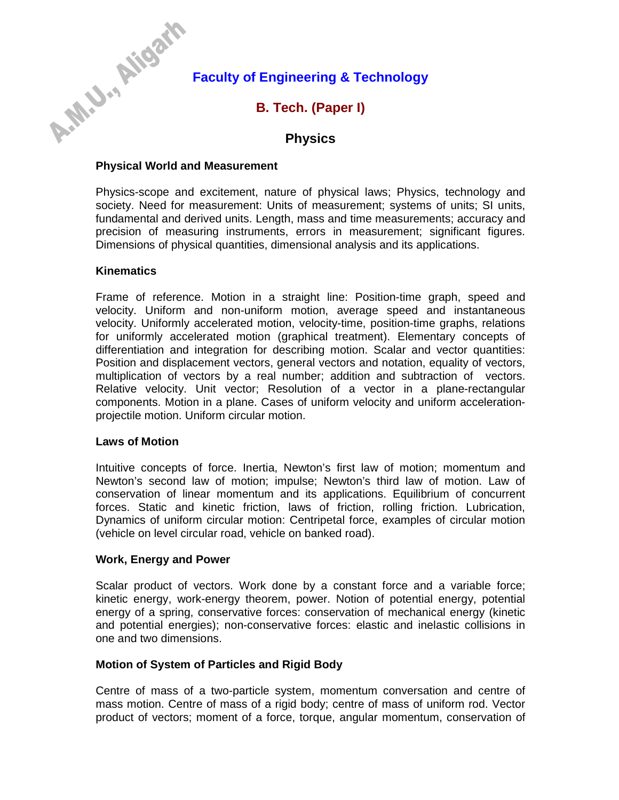# **Faculty of Engineering & Technology**

# **B. Tech. (Paper I)**

# **Physics**

### **Physical World and Measurement**

Physics-scope and excitement, nature of physical laws; Physics, technology and society. Need for measurement: Units of measurement; systems of units; SI units, fundamental and derived units. Length, mass and time measurements; accuracy and precision of measuring instruments, errors in measurement; significant figures. Dimensions of physical quantities, dimensional analysis and its applications.

#### **Kinematics**

A-N-U-LIISON

Frame of reference. Motion in a straight line: Position-time graph, speed and velocity. Uniform and non-uniform motion, average speed and instantaneous velocity. Uniformly accelerated motion, velocity-time, position-time graphs, relations for uniformly accelerated motion (graphical treatment). Elementary concepts of differentiation and integration for describing motion. Scalar and vector quantities: Position and displacement vectors, general vectors and notation, equality of vectors, multiplication of vectors by a real number; addition and subtraction of vectors. Relative velocity. Unit vector; Resolution of a vector in a plane-rectangular components. Motion in a plane. Cases of uniform velocity and uniform accelerationprojectile motion. Uniform circular motion.

#### **Laws of Motion**

Intuitive concepts of force. Inertia, Newton's first law of motion; momentum and Newton's second law of motion; impulse; Newton's third law of motion. Law of conservation of linear momentum and its applications. Equilibrium of concurrent forces. Static and kinetic friction, laws of friction, rolling friction. Lubrication, Dynamics of uniform circular motion: Centripetal force, examples of circular motion (vehicle on level circular road, vehicle on banked road).

# **Work, Energy and Power**

Scalar product of vectors. Work done by a constant force and a variable force; kinetic energy, work-energy theorem, power. Notion of potential energy, potential energy of a spring, conservative forces: conservation of mechanical energy (kinetic and potential energies); non-conservative forces: elastic and inelastic collisions in one and two dimensions.

# **Motion of System of Particles and Rigid Body**

Centre of mass of a two-particle system, momentum conversation and centre of mass motion. Centre of mass of a rigid body; centre of mass of uniform rod. Vector product of vectors; moment of a force, torque, angular momentum, conservation of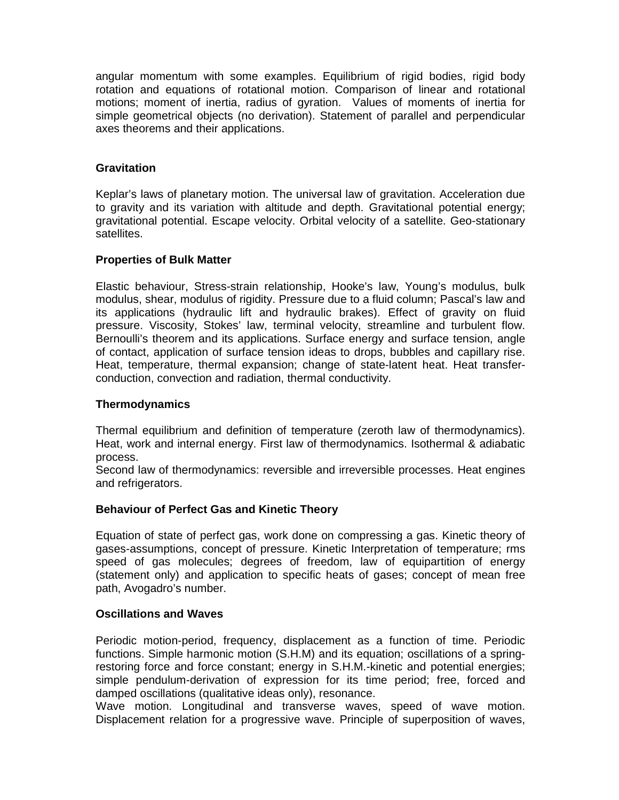angular momentum with some examples. Equilibrium of rigid bodies, rigid body rotation and equations of rotational motion. Comparison of linear and rotational motions; moment of inertia, radius of gyration. Values of moments of inertia for simple geometrical objects (no derivation). Statement of parallel and perpendicular axes theorems and their applications.

### **Gravitation**

Keplar's laws of planetary motion. The universal law of gravitation. Acceleration due to gravity and its variation with altitude and depth. Gravitational potential energy; gravitational potential. Escape velocity. Orbital velocity of a satellite. Geo-stationary satellites.

#### **Properties of Bulk Matter**

Elastic behaviour, Stress-strain relationship, Hooke's law, Young's modulus, bulk modulus, shear, modulus of rigidity. Pressure due to a fluid column; Pascal's law and its applications (hydraulic lift and hydraulic brakes). Effect of gravity on fluid pressure. Viscosity, Stokes' law, terminal velocity, streamline and turbulent flow. Bernoulli's theorem and its applications. Surface energy and surface tension, angle of contact, application of surface tension ideas to drops, bubbles and capillary rise. Heat, temperature, thermal expansion; change of state-latent heat. Heat transferconduction, convection and radiation, thermal conductivity.

#### **Thermodynamics**

Thermal equilibrium and definition of temperature (zeroth law of thermodynamics). Heat, work and internal energy. First law of thermodynamics. Isothermal & adiabatic process.

Second law of thermodynamics: reversible and irreversible processes. Heat engines and refrigerators.

# **Behaviour of Perfect Gas and Kinetic Theory**

Equation of state of perfect gas, work done on compressing a gas. Kinetic theory of gases-assumptions, concept of pressure. Kinetic Interpretation of temperature; rms speed of gas molecules; degrees of freedom, law of equipartition of energy (statement only) and application to specific heats of gases; concept of mean free path, Avogadro's number.

#### **Oscillations and Waves**

Periodic motion-period, frequency, displacement as a function of time. Periodic functions. Simple harmonic motion (S.H.M) and its equation; oscillations of a springrestoring force and force constant; energy in S.H.M.-kinetic and potential energies; simple pendulum-derivation of expression for its time period; free, forced and damped oscillations (qualitative ideas only), resonance.

Wave motion. Longitudinal and transverse waves, speed of wave motion. Displacement relation for a progressive wave. Principle of superposition of waves,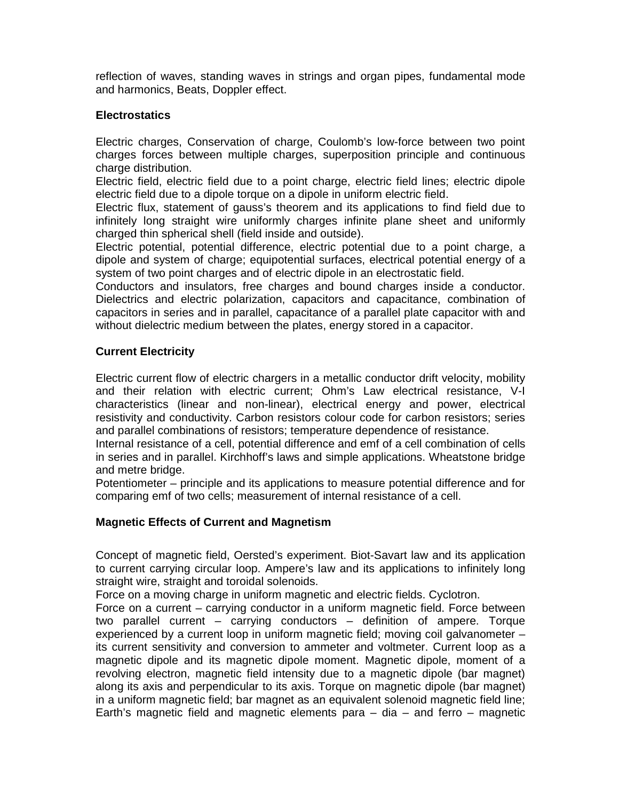reflection of waves, standing waves in strings and organ pipes, fundamental mode and harmonics, Beats, Doppler effect.

### **Electrostatics**

Electric charges, Conservation of charge, Coulomb's low-force between two point charges forces between multiple charges, superposition principle and continuous charge distribution.

Electric field, electric field due to a point charge, electric field lines; electric dipole electric field due to a dipole torque on a dipole in uniform electric field.

Electric flux, statement of gauss's theorem and its applications to find field due to infinitely long straight wire uniformly charges infinite plane sheet and uniformly charged thin spherical shell (field inside and outside).

Electric potential, potential difference, electric potential due to a point charge, a dipole and system of charge; equipotential surfaces, electrical potential energy of a system of two point charges and of electric dipole in an electrostatic field.

Conductors and insulators, free charges and bound charges inside a conductor. Dielectrics and electric polarization, capacitors and capacitance, combination of capacitors in series and in parallel, capacitance of a parallel plate capacitor with and without dielectric medium between the plates, energy stored in a capacitor.

### **Current Electricity**

Electric current flow of electric chargers in a metallic conductor drift velocity, mobility and their relation with electric current; Ohm's Law electrical resistance, V-I characteristics (linear and non-linear), electrical energy and power, electrical resistivity and conductivity. Carbon resistors colour code for carbon resistors; series and parallel combinations of resistors; temperature dependence of resistance.

Internal resistance of a cell, potential difference and emf of a cell combination of cells in series and in parallel. Kirchhoff's laws and simple applications. Wheatstone bridge and metre bridge.

Potentiometer – principle and its applications to measure potential difference and for comparing emf of two cells; measurement of internal resistance of a cell.

# **Magnetic Effects of Current and Magnetism**

Concept of magnetic field, Oersted's experiment. Biot-Savart law and its application to current carrying circular loop. Ampere's law and its applications to infinitely long straight wire, straight and toroidal solenoids.

Force on a moving charge in uniform magnetic and electric fields. Cyclotron.

Force on a current – carrying conductor in a uniform magnetic field. Force between two parallel current – carrying conductors – definition of ampere. Torque experienced by a current loop in uniform magnetic field; moving coil galvanometer – its current sensitivity and conversion to ammeter and voltmeter. Current loop as a magnetic dipole and its magnetic dipole moment. Magnetic dipole, moment of a revolving electron, magnetic field intensity due to a magnetic dipole (bar magnet) along its axis and perpendicular to its axis. Torque on magnetic dipole (bar magnet) in a uniform magnetic field; bar magnet as an equivalent solenoid magnetic field line; Earth's magnetic field and magnetic elements para  $-$  dia  $-$  and ferro  $-$  magnetic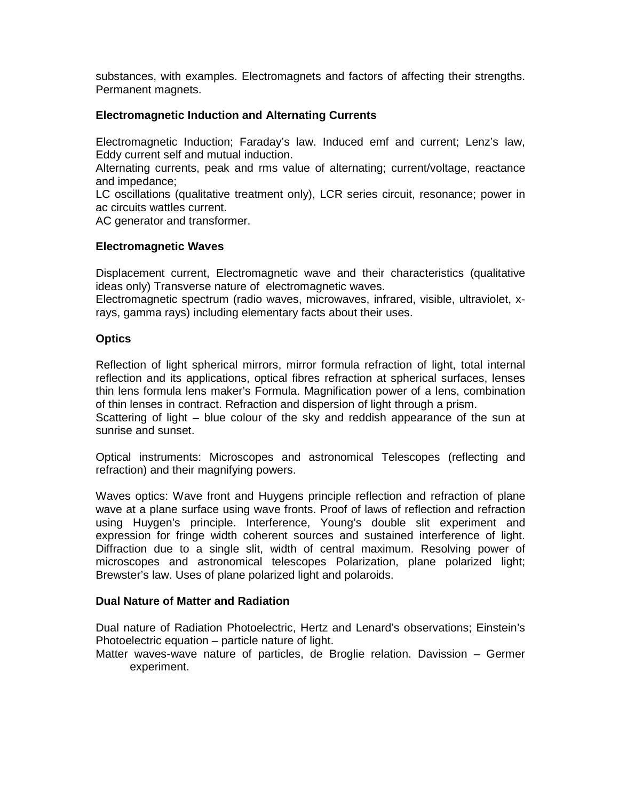substances, with examples. Electromagnets and factors of affecting their strengths. Permanent magnets.

### **Electromagnetic Induction and Alternating Currents**

Electromagnetic Induction; Faraday's law. Induced emf and current; Lenz's law, Eddy current self and mutual induction.

Alternating currents, peak and rms value of alternating; current/voltage, reactance and impedance;

LC oscillations (qualitative treatment only), LCR series circuit, resonance; power in ac circuits wattles current.

AC generator and transformer.

#### **Electromagnetic Waves**

Displacement current, Electromagnetic wave and their characteristics (qualitative ideas only) Transverse nature of electromagnetic waves.

Electromagnetic spectrum (radio waves, microwaves, infrared, visible, ultraviolet, xrays, gamma rays) including elementary facts about their uses.

#### **Optics**

Reflection of light spherical mirrors, mirror formula refraction of light, total internal reflection and its applications, optical fibres refraction at spherical surfaces, lenses thin lens formula lens maker's Formula. Magnification power of a lens, combination of thin lenses in contract. Refraction and dispersion of light through a prism.

Scattering of light – blue colour of the sky and reddish appearance of the sun at sunrise and sunset.

Optical instruments: Microscopes and astronomical Telescopes (reflecting and refraction) and their magnifying powers.

Waves optics: Wave front and Huygens principle reflection and refraction of plane wave at a plane surface using wave fronts. Proof of laws of reflection and refraction using Huygen's principle. Interference, Young's double slit experiment and expression for fringe width coherent sources and sustained interference of light. Diffraction due to a single slit, width of central maximum. Resolving power of microscopes and astronomical telescopes Polarization, plane polarized light; Brewster's law. Uses of plane polarized light and polaroids.

# **Dual Nature of Matter and Radiation**

Dual nature of Radiation Photoelectric, Hertz and Lenard's observations; Einstein's Photoelectric equation – particle nature of light.

Matter waves-wave nature of particles, de Broglie relation. Davission – Germer experiment.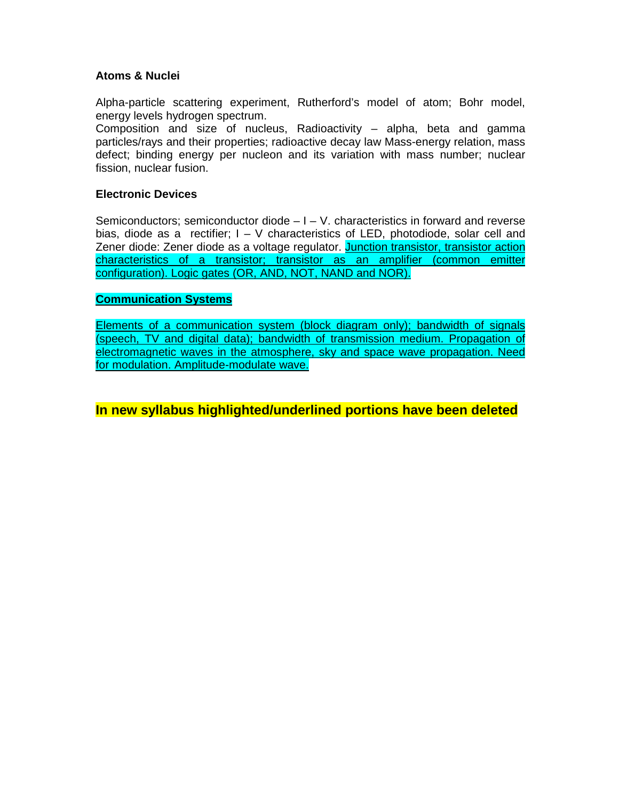# **Atoms & Nuclei**

Alpha-particle scattering experiment, Rutherford's model of atom; Bohr model, energy levels hydrogen spectrum.

Composition and size of nucleus, Radioactivity – alpha, beta and gamma particles/rays and their properties; radioactive decay law Mass-energy relation, mass defect; binding energy per nucleon and its variation with mass number; nuclear fission, nuclear fusion.

# **Electronic Devices**

Semiconductors; semiconductor diode  $-1 - V$ . characteristics in forward and reverse bias, diode as a rectifier; I – V characteristics of LED, photodiode, solar cell and Zener diode: Zener diode as a voltage regulator. Junction transistor, transistor action characteristics of a transistor; transistor as an amplifier (common emitter configuration). Logic gates (OR, AND, NOT, NAND and NOR).

# **Communication Systems**

Elements of a communication system (block diagram only); bandwidth of signals (speech, TV and digital data); bandwidth of transmission medium. Propagation of electromagnetic waves in the atmosphere, sky and space wave propagation. Need for modulation. Amplitude-modulate wave.

**In new syllabus highlighted/underlined portions have been deleted**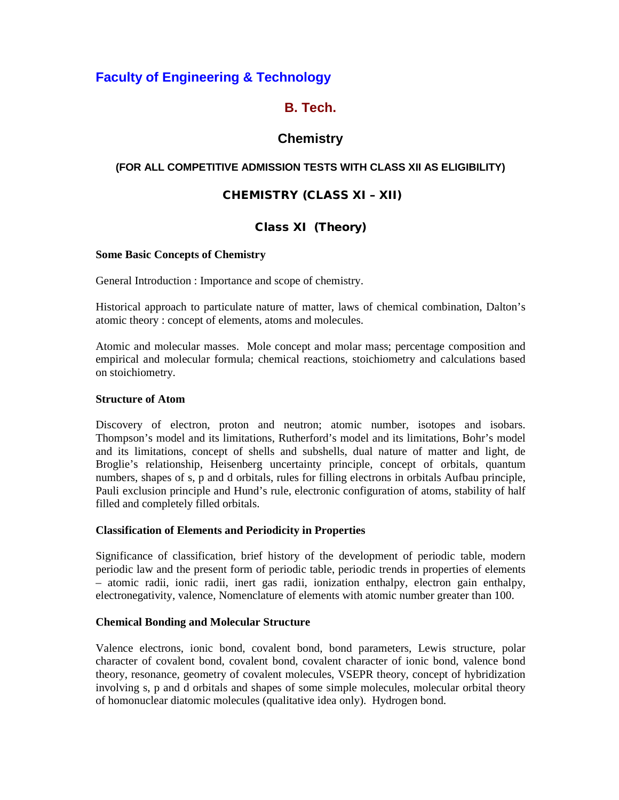# **Faculty of Engineering & Technology**

# **B. Tech.**

# **Chemistry**

# **(FOR ALL COMPETITIVE ADMISSION TESTS WITH CLASS XII AS ELIGIBILITY)**

# **CHEMISTRY (CLASS XI – XII)**

# **Class XI (Theory)**

### **Some Basic Concepts of Chemistry**

General Introduction : Importance and scope of chemistry.

Historical approach to particulate nature of matter, laws of chemical combination, Dalton's atomic theory : concept of elements, atoms and molecules.

Atomic and molecular masses. Mole concept and molar mass; percentage composition and empirical and molecular formula; chemical reactions, stoichiometry and calculations based on stoichiometry.

### **Structure of Atom**

Discovery of electron, proton and neutron; atomic number, isotopes and isobars. Thompson's model and its limitations, Rutherford's model and its limitations, Bohr's model and its limitations, concept of shells and subshells, dual nature of matter and light, de Broglie's relationship, Heisenberg uncertainty principle, concept of orbitals, quantum numbers, shapes of s, p and d orbitals, rules for filling electrons in orbitals Aufbau principle, Pauli exclusion principle and Hund's rule, electronic configuration of atoms, stability of half filled and completely filled orbitals.

# **Classification of Elements and Periodicity in Properties**

Significance of classification, brief history of the development of periodic table, modern periodic law and the present form of periodic table, periodic trends in properties of elements – atomic radii, ionic radii, inert gas radii, ionization enthalpy, electron gain enthalpy, electronegativity, valence, Nomenclature of elements with atomic number greater than 100.

#### **Chemical Bonding and Molecular Structure**

Valence electrons, ionic bond, covalent bond, bond parameters, Lewis structure, polar character of covalent bond, covalent bond, covalent character of ionic bond, valence bond theory, resonance, geometry of covalent molecules, VSEPR theory, concept of hybridization involving s, p and d orbitals and shapes of some simple molecules, molecular orbital theory of homonuclear diatomic molecules (qualitative idea only). Hydrogen bond.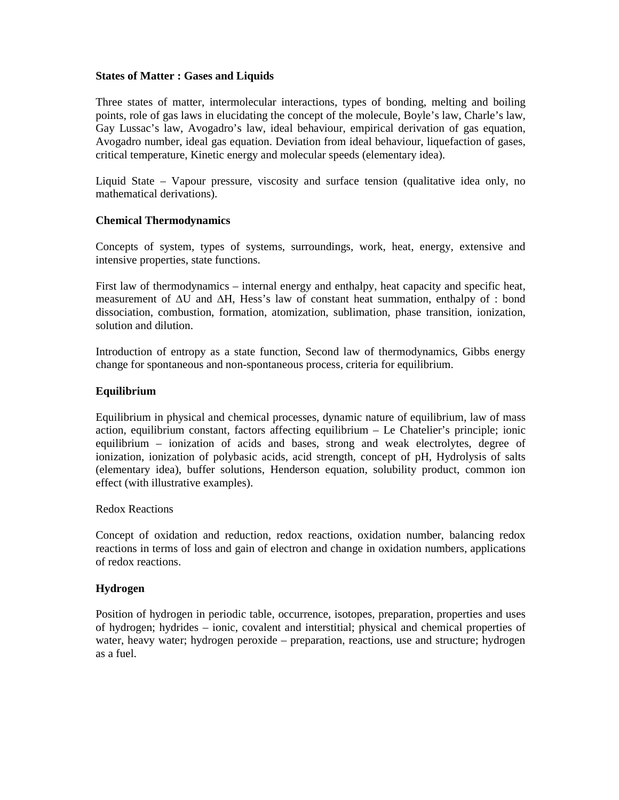#### **States of Matter : Gases and Liquids**

Three states of matter, intermolecular interactions, types of bonding, melting and boiling points, role of gas laws in elucidating the concept of the molecule, Boyle's law, Charle's law, Gay Lussac's law, Avogadro's law, ideal behaviour, empirical derivation of gas equation, Avogadro number, ideal gas equation. Deviation from ideal behaviour, liquefaction of gases, critical temperature, Kinetic energy and molecular speeds (elementary idea).

Liquid State – Vapour pressure, viscosity and surface tension (qualitative idea only, no mathematical derivations).

#### **Chemical Thermodynamics**

Concepts of system, types of systems, surroundings, work, heat, energy, extensive and intensive properties, state functions.

First law of thermodynamics – internal energy and enthalpy, heat capacity and specific heat, measurement of ∆U and ∆H, Hess's law of constant heat summation, enthalpy of : bond dissociation, combustion, formation, atomization, sublimation, phase transition, ionization, solution and dilution.

Introduction of entropy as a state function, Second law of thermodynamics, Gibbs energy change for spontaneous and non-spontaneous process, criteria for equilibrium.

#### **Equilibrium**

Equilibrium in physical and chemical processes, dynamic nature of equilibrium, law of mass action, equilibrium constant, factors affecting equilibrium – Le Chatelier's principle; ionic equilibrium – ionization of acids and bases, strong and weak electrolytes, degree of ionization, ionization of polybasic acids, acid strength, concept of pH, Hydrolysis of salts (elementary idea), buffer solutions, Henderson equation, solubility product, common ion effect (with illustrative examples).

Redox Reactions

Concept of oxidation and reduction, redox reactions, oxidation number, balancing redox reactions in terms of loss and gain of electron and change in oxidation numbers, applications of redox reactions.

#### **Hydrogen**

Position of hydrogen in periodic table, occurrence, isotopes, preparation, properties and uses of hydrogen; hydrides – ionic, covalent and interstitial; physical and chemical properties of water, heavy water; hydrogen peroxide – preparation, reactions, use and structure; hydrogen as a fuel.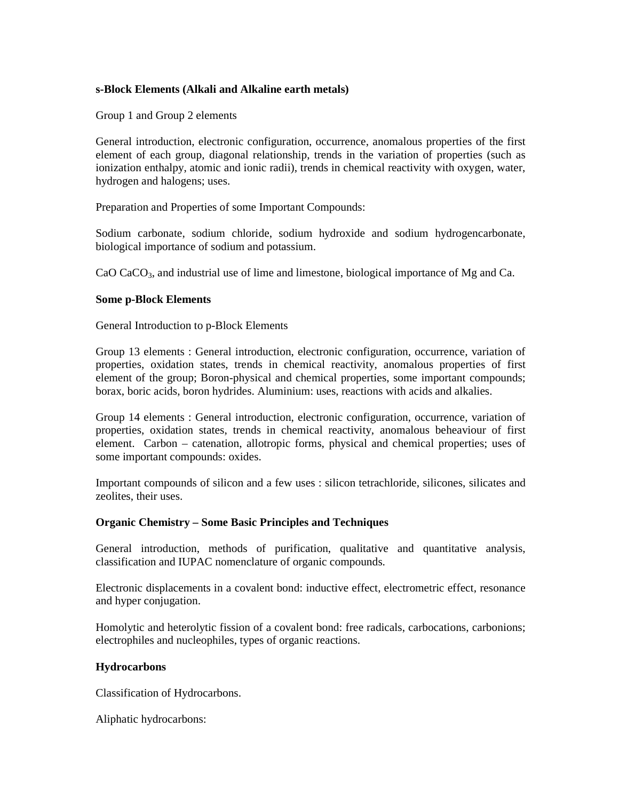#### **s-Block Elements (Alkali and Alkaline earth metals)**

Group 1 and Group 2 elements

General introduction, electronic configuration, occurrence, anomalous properties of the first element of each group, diagonal relationship, trends in the variation of properties (such as ionization enthalpy, atomic and ionic radii), trends in chemical reactivity with oxygen, water, hydrogen and halogens; uses.

Preparation and Properties of some Important Compounds:

Sodium carbonate, sodium chloride, sodium hydroxide and sodium hydrogencarbonate, biological importance of sodium and potassium.

CaO CaCO<sub>3</sub>, and industrial use of lime and limestone, biological importance of Mg and Ca.

#### **Some p-Block Elements**

General Introduction to p-Block Elements

Group 13 elements : General introduction, electronic configuration, occurrence, variation of properties, oxidation states, trends in chemical reactivity, anomalous properties of first element of the group; Boron-physical and chemical properties, some important compounds; borax, boric acids, boron hydrides. Aluminium: uses, reactions with acids and alkalies.

Group 14 elements : General introduction, electronic configuration, occurrence, variation of properties, oxidation states, trends in chemical reactivity, anomalous beheaviour of first element. Carbon – catenation, allotropic forms, physical and chemical properties; uses of some important compounds: oxides.

Important compounds of silicon and a few uses : silicon tetrachloride, silicones, silicates and zeolites, their uses.

#### **Organic Chemistry – Some Basic Principles and Techniques**

General introduction, methods of purification, qualitative and quantitative analysis, classification and IUPAC nomenclature of organic compounds.

Electronic displacements in a covalent bond: inductive effect, electrometric effect, resonance and hyper conjugation.

Homolytic and heterolytic fission of a covalent bond: free radicals, carbocations, carbonions; electrophiles and nucleophiles, types of organic reactions.

#### **Hydrocarbons**

Classification of Hydrocarbons.

Aliphatic hydrocarbons: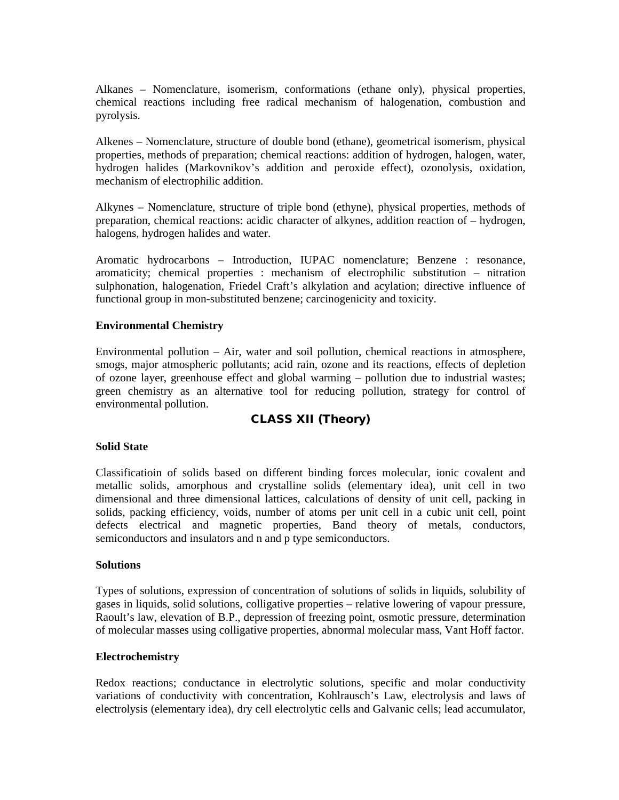Alkanes – Nomenclature, isomerism, conformations (ethane only), physical properties, chemical reactions including free radical mechanism of halogenation, combustion and pyrolysis.

Alkenes – Nomenclature, structure of double bond (ethane), geometrical isomerism, physical properties, methods of preparation; chemical reactions: addition of hydrogen, halogen, water, hydrogen halides (Markovnikov's addition and peroxide effect), ozonolysis, oxidation, mechanism of electrophilic addition.

Alkynes – Nomenclature, structure of triple bond (ethyne), physical properties, methods of preparation, chemical reactions: acidic character of alkynes, addition reaction of – hydrogen, halogens, hydrogen halides and water.

Aromatic hydrocarbons – Introduction, IUPAC nomenclature; Benzene : resonance, aromaticity; chemical properties : mechanism of electrophilic substitution – nitration sulphonation, halogenation, Friedel Craft's alkylation and acylation; directive influence of functional group in mon-substituted benzene; carcinogenicity and toxicity.

#### **Environmental Chemistry**

Environmental pollution – Air, water and soil pollution, chemical reactions in atmosphere, smogs, major atmospheric pollutants; acid rain, ozone and its reactions, effects of depletion of ozone layer, greenhouse effect and global warming – pollution due to industrial wastes; green chemistry as an alternative tool for reducing pollution, strategy for control of environmental pollution.

# **CLASS XII (Theory)**

#### **Solid State**

Classificatioin of solids based on different binding forces molecular, ionic covalent and metallic solids, amorphous and crystalline solids (elementary idea), unit cell in two dimensional and three dimensional lattices, calculations of density of unit cell, packing in solids, packing efficiency, voids, number of atoms per unit cell in a cubic unit cell, point defects electrical and magnetic properties, Band theory of metals, conductors, semiconductors and insulators and n and p type semiconductors.

#### **Solutions**

Types of solutions, expression of concentration of solutions of solids in liquids, solubility of gases in liquids, solid solutions, colligative properties – relative lowering of vapour pressure, Raoult's law, elevation of B.P., depression of freezing point, osmotic pressure, determination of molecular masses using colligative properties, abnormal molecular mass, Vant Hoff factor.

#### **Electrochemistry**

Redox reactions; conductance in electrolytic solutions, specific and molar conductivity variations of conductivity with concentration, Kohlrausch's Law, electrolysis and laws of electrolysis (elementary idea), dry cell electrolytic cells and Galvanic cells; lead accumulator,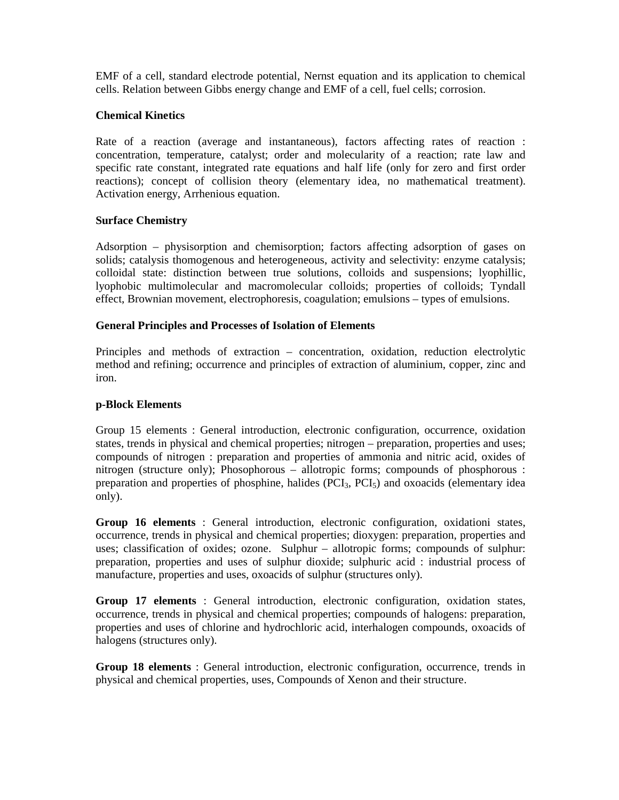EMF of a cell, standard electrode potential, Nernst equation and its application to chemical cells. Relation between Gibbs energy change and EMF of a cell, fuel cells; corrosion.

### **Chemical Kinetics**

Rate of a reaction (average and instantaneous), factors affecting rates of reaction : concentration, temperature, catalyst; order and molecularity of a reaction; rate law and specific rate constant, integrated rate equations and half life (only for zero and first order reactions); concept of collision theory (elementary idea, no mathematical treatment). Activation energy, Arrhenious equation.

### **Surface Chemistry**

Adsorption – physisorption and chemisorption; factors affecting adsorption of gases on solids; catalysis thomogenous and heterogeneous, activity and selectivity: enzyme catalysis; colloidal state: distinction between true solutions, colloids and suspensions; lyophillic, lyophobic multimolecular and macromolecular colloids; properties of colloids; Tyndall effect, Brownian movement, electrophoresis, coagulation; emulsions – types of emulsions.

### **General Principles and Processes of Isolation of Elements**

Principles and methods of extraction – concentration, oxidation, reduction electrolytic method and refining; occurrence and principles of extraction of aluminium, copper, zinc and iron.

### **p-Block Elements**

Group 15 elements : General introduction, electronic configuration, occurrence, oxidation states, trends in physical and chemical properties; nitrogen – preparation, properties and uses; compounds of nitrogen : preparation and properties of ammonia and nitric acid, oxides of nitrogen (structure only); Phosophorous – allotropic forms; compounds of phosphorous : preparation and properties of phosphine, halides  $(PCI<sub>3</sub>, PCI<sub>5</sub>)$  and oxoacids (elementary idea only).

**Group 16 elements** : General introduction, electronic configuration, oxidationi states, occurrence, trends in physical and chemical properties; dioxygen: preparation, properties and uses; classification of oxides; ozone. Sulphur – allotropic forms; compounds of sulphur: preparation, properties and uses of sulphur dioxide; sulphuric acid : industrial process of manufacture, properties and uses, oxoacids of sulphur (structures only).

**Group 17 elements** : General introduction, electronic configuration, oxidation states, occurrence, trends in physical and chemical properties; compounds of halogens: preparation, properties and uses of chlorine and hydrochloric acid, interhalogen compounds, oxoacids of halogens (structures only).

**Group 18 elements** : General introduction, electronic configuration, occurrence, trends in physical and chemical properties, uses, Compounds of Xenon and their structure.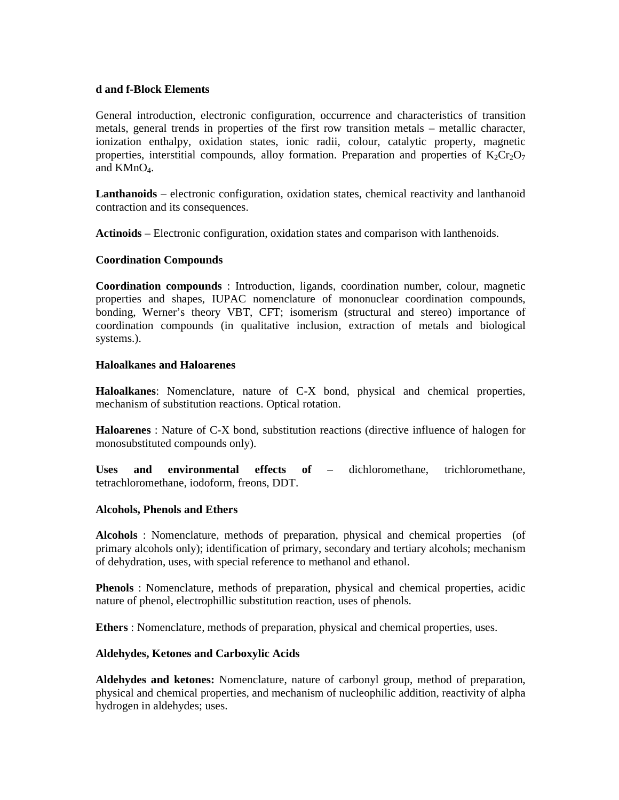#### **d and f-Block Elements**

General introduction, electronic configuration, occurrence and characteristics of transition metals, general trends in properties of the first row transition metals – metallic character, ionization enthalpy, oxidation states, ionic radii, colour, catalytic property, magnetic properties, interstitial compounds, alloy formation. Preparation and properties of  $K_2Cr_2O_7$ and  $KMnO<sub>4</sub>$ .

**Lanthanoids** – electronic configuration, oxidation states, chemical reactivity and lanthanoid contraction and its consequences.

**Actinoids** – Electronic configuration, oxidation states and comparison with lanthenoids.

#### **Coordination Compounds**

**Coordination compounds** : Introduction, ligands, coordination number, colour, magnetic properties and shapes, IUPAC nomenclature of mononuclear coordination compounds, bonding, Werner's theory VBT, CFT; isomerism (structural and stereo) importance of coordination compounds (in qualitative inclusion, extraction of metals and biological systems.).

#### **Haloalkanes and Haloarenes**

**Haloalkanes**: Nomenclature, nature of C-X bond, physical and chemical properties, mechanism of substitution reactions. Optical rotation.

**Haloarenes** : Nature of C-X bond, substitution reactions (directive influence of halogen for monosubstituted compounds only).

**Uses and environmental effects of** – dichloromethane, trichloromethane, tetrachloromethane, iodoform, freons, DDT.

#### **Alcohols, Phenols and Ethers**

**Alcohols** : Nomenclature, methods of preparation, physical and chemical properties (of primary alcohols only); identification of primary, secondary and tertiary alcohols; mechanism of dehydration, uses, with special reference to methanol and ethanol.

**Phenols** : Nomenclature, methods of preparation, physical and chemical properties, acidic nature of phenol, electrophillic substitution reaction, uses of phenols.

**Ethers** : Nomenclature, methods of preparation, physical and chemical properties, uses.

#### **Aldehydes, Ketones and Carboxylic Acids**

**Aldehydes and ketones:** Nomenclature, nature of carbonyl group, method of preparation, physical and chemical properties, and mechanism of nucleophilic addition, reactivity of alpha hydrogen in aldehydes; uses.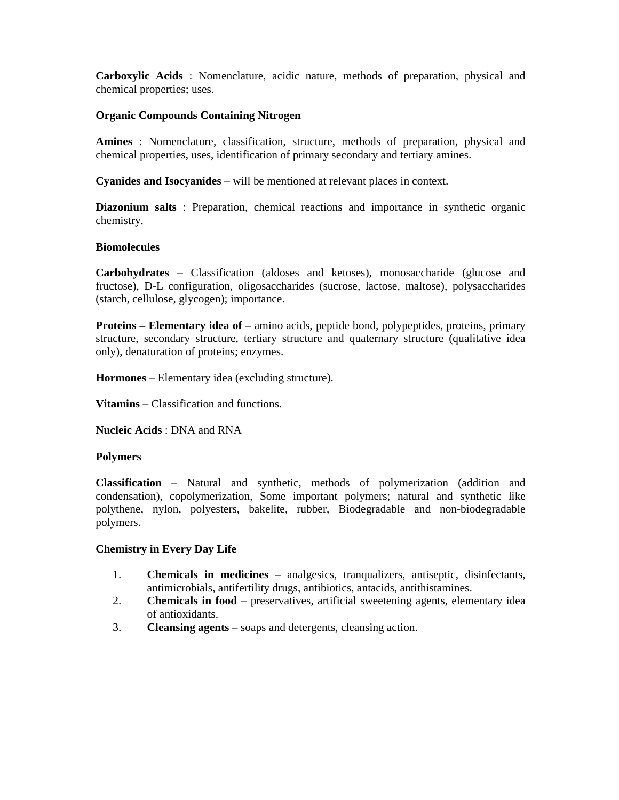**Carboxylic Acids** : Nomenclature, acidic nature, methods of preparation, physical and chemical properties; uses.

#### **Organic Compounds Containing Nitrogen**

**Amines** : Nomenclature, classification, structure, methods of preparation, physical and chemical properties, uses, identification of primary secondary and tertiary amines.

**Cyanides and Isocyanides** – will be mentioned at relevant places in context.

**Diazonium salts** : Preparation, chemical reactions and importance in synthetic organic chemistry.

### **Biomolecules**

**Carbohydrates** – Classification (aldoses and ketoses), monosaccharide (glucose and fructose), D-L configuration, oligosaccharides (sucrose, lactose, maltose), polysaccharides (starch, cellulose, glycogen); importance.

**Proteins – Elementary idea of** – amino acids, peptide bond, polypeptides, proteins, primary structure, secondary structure, tertiary structure and quaternary structure (qualitative idea only), denaturation of proteins; enzymes.

**Hormones** – Elementary idea (excluding structure).

**Vitamins** – Classification and functions.

**Nucleic Acids** : DNA and RNA

#### **Polymers**

**Classification** – Natural and synthetic, methods of polymerization (addition and condensation), copolymerization, Some important polymers; natural and synthetic like polythene, nylon, polyesters, bakelite, rubber, Biodegradable and non-biodegradable polymers.

#### **Chemistry in Every Day Life**

- 1. **Chemicals in medicines** analgesics, tranqualizers, antiseptic, disinfectants, antimicrobials, antifertility drugs, antibiotics, antacids, antithistamines.
- 2. **Chemicals in food** preservatives, artificial sweetening agents, elementary idea of antioxidants.
- 3. **Cleansing agents** soaps and detergents, cleansing action.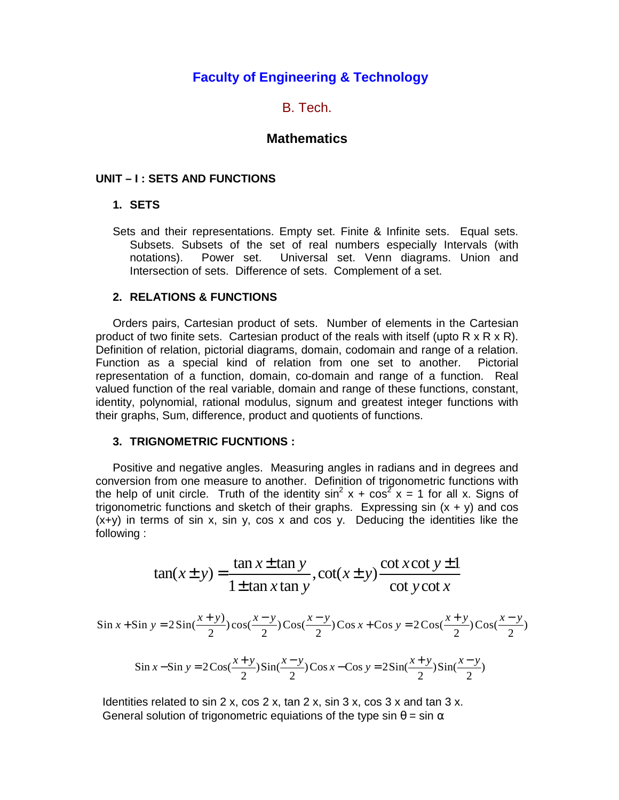# **Faculty of Engineering & Technology**

# B. Tech.

# **Mathematics**

### **UNIT – I : SETS AND FUNCTIONS**

### **1. SETS**

Sets and their representations. Empty set. Finite & Infinite sets. Equal sets. Subsets. Subsets of the set of real numbers especially Intervals (with notations). Power set. Universal set. Venn diagrams. Union and Intersection of sets. Difference of sets. Complement of a set.

### **2. RELATIONS & FUNCTIONS**

Orders pairs, Cartesian product of sets. Number of elements in the Cartesian product of two finite sets. Cartesian product of the reals with itself (upto  $R \times R \times R$ ). Definition of relation, pictorial diagrams, domain, codomain and range of a relation. Function as a special kind of relation from one set to another. Pictorial representation of a function, domain, co-domain and range of a function. Real valued function of the real variable, domain and range of these functions, constant, identity, polynomial, rational modulus, signum and greatest integer functions with their graphs, Sum, difference, product and quotients of functions.

#### **3. TRIGNOMETRIC FUCNTIONS :**

Positive and negative angles. Measuring angles in radians and in degrees and conversion from one measure to another. Definition of trigonometric functions with the help of unit circle. Truth of the identity  $sin^2 x + cos^2 x = 1$  for all x. Signs of trigonometric functions and sketch of their graphs. Expressing sin  $(x + y)$  and cos  $(x+y)$  in terms of sin x, sin y, cos x and cos y. Deducing the identities like the following :

$$
\tan(x \pm y) = \frac{\tan x \pm \tan y}{1 \pm \tan x \tan y}, \cot(x \pm y) \frac{\cot x \cot y \pm 1}{\cot y \cot x}
$$

$$
\sin x + \sin y = 2\sin(\frac{x+y}{2})\cos(\frac{x-y}{2})\cos(\frac{x-y}{2})\cos x + \cos y = 2\cos(\frac{x+y}{2})\cos(\frac{x-y}{2})
$$

$$
\sin x - \sin y = 2\cos(\frac{x+y}{2})\sin(\frac{x-y}{2})\cos x - \cos y = 2\sin(\frac{x+y}{2})\sin(\frac{x-y}{2})
$$

Identities related to sin 2 x, cos 2 x, tan 2 x, sin 3 x, cos 3 x and tan 3 x. General solution of trigonometric equiations of the type sin  $\theta$  = sin  $\alpha$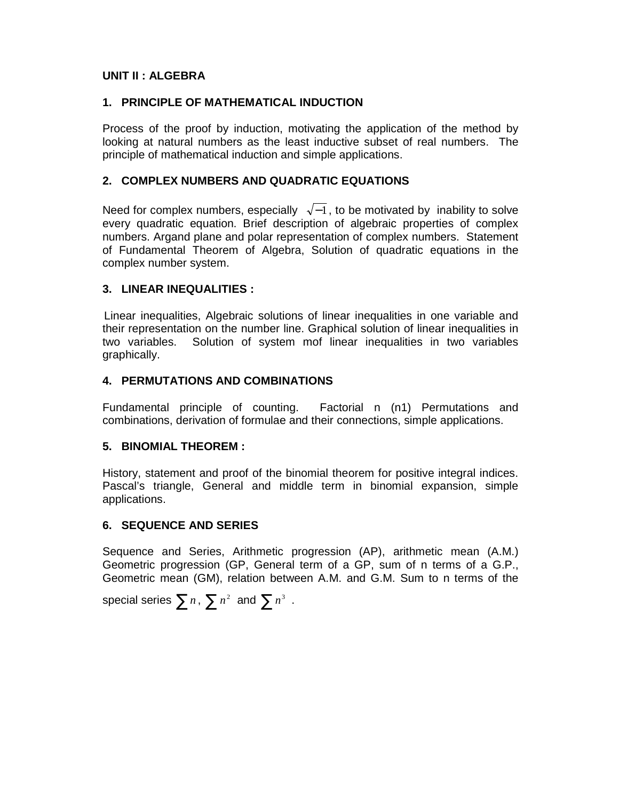# **UNIT II : ALGEBRA**

# **1. PRINCIPLE OF MATHEMATICAL INDUCTION**

Process of the proof by induction, motivating the application of the method by looking at natural numbers as the least inductive subset of real numbers. The principle of mathematical induction and simple applications.

# **2. COMPLEX NUMBERS AND QUADRATIC EQUATIONS**

Need for complex numbers, especially  $\sqrt{-1}$ , to be motivated by inability to solve every quadratic equation. Brief description of algebraic properties of complex numbers. Argand plane and polar representation of complex numbers. Statement of Fundamental Theorem of Algebra, Solution of quadratic equations in the complex number system.

# **3. LINEAR INEQUALITIES :**

Linear inequalities, Algebraic solutions of linear inequalities in one variable and their representation on the number line. Graphical solution of linear inequalities in two variables. Solution of system mof linear inequalities in two variables graphically.

# **4. PERMUTATIONS AND COMBINATIONS**

Fundamental principle of counting. Factorial n (n1) Permutations and combinations, derivation of formulae and their connections, simple applications.

# **5. BINOMIAL THEOREM :**

History, statement and proof of the binomial theorem for positive integral indices. Pascal's triangle, General and middle term in binomial expansion, simple applications.

# **6. SEQUENCE AND SERIES**

Sequence and Series, Arithmetic progression (AP), arithmetic mean (A.M.) Geometric progression (GP, General term of a GP, sum of n terms of a G.P., Geometric mean (GM), relation between A.M. and G.M. Sum to n terms of the

special series  $\sum n$ ,  $\sum n^2$  and  $\sum n^3$  .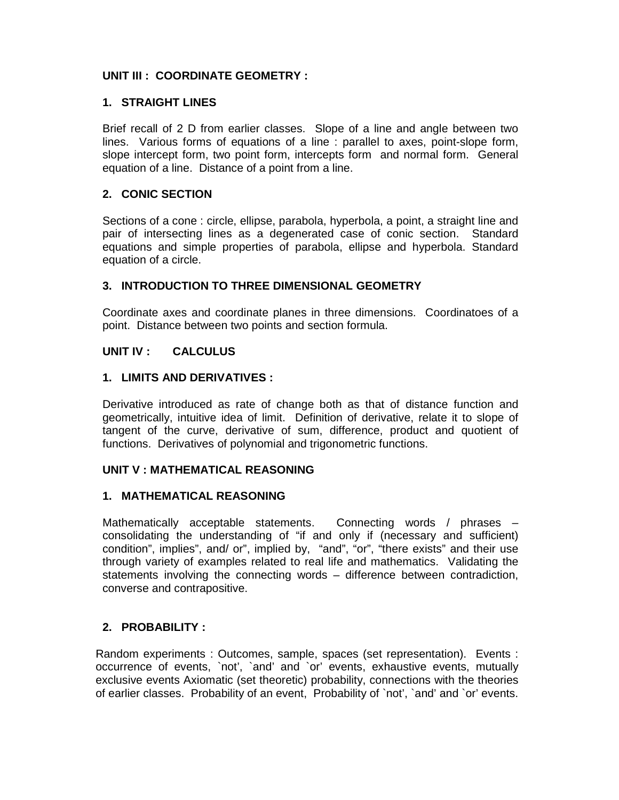# **UNIT III : COORDINATE GEOMETRY :**

# **1. STRAIGHT LINES**

Brief recall of 2 D from earlier classes. Slope of a line and angle between two lines. Various forms of equations of a line : parallel to axes, point-slope form, slope intercept form, two point form, intercepts form and normal form. General equation of a line. Distance of a point from a line.

# **2. CONIC SECTION**

Sections of a cone : circle, ellipse, parabola, hyperbola, a point, a straight line and pair of intersecting lines as a degenerated case of conic section. Standard equations and simple properties of parabola, ellipse and hyperbola. Standard equation of a circle.

# **3. INTRODUCTION TO THREE DIMENSIONAL GEOMETRY**

Coordinate axes and coordinate planes in three dimensions. Coordinatoes of a point. Distance between two points and section formula.

# **UNIT IV : CALCULUS**

# **1. LIMITS AND DERIVATIVES :**

Derivative introduced as rate of change both as that of distance function and geometrically, intuitive idea of limit. Definition of derivative, relate it to slope of tangent of the curve, derivative of sum, difference, product and quotient of functions. Derivatives of polynomial and trigonometric functions.

# **UNIT V : MATHEMATICAL REASONING**

# **1. MATHEMATICAL REASONING**

Mathematically acceptable statements. Connecting words / phrases – consolidating the understanding of "if and only if (necessary and sufficient) condition", implies", and/ or", implied by, "and", "or", "there exists" and their use through variety of examples related to real life and mathematics. Validating the statements involving the connecting words – difference between contradiction, converse and contrapositive.

# **2. PROBABILITY :**

Random experiments : Outcomes, sample, spaces (set representation). Events : occurrence of events, `not', `and' and `or' events, exhaustive events, mutually exclusive events Axiomatic (set theoretic) probability, connections with the theories of earlier classes. Probability of an event, Probability of `not', `and' and `or' events.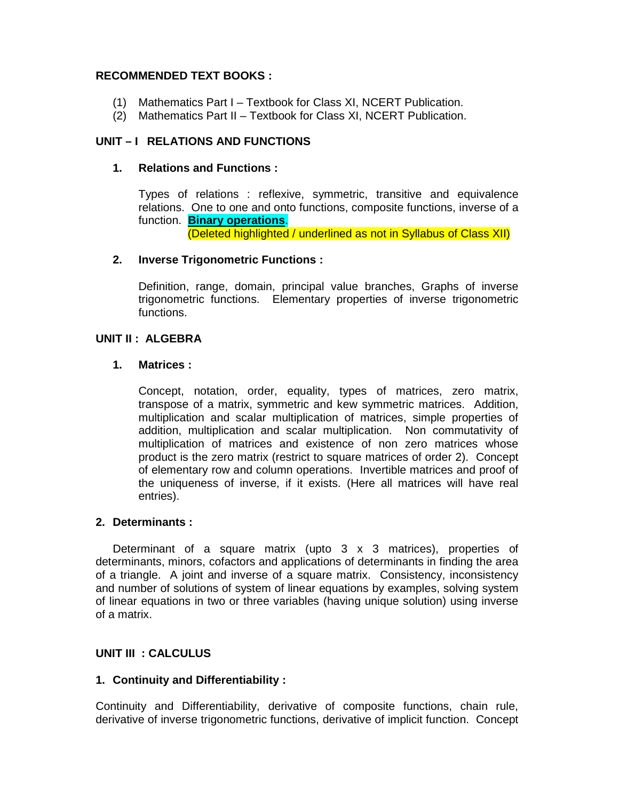# **RECOMMENDED TEXT BOOKS :**

- (1) Mathematics Part I Textbook for Class XI, NCERT Publication.
- (2) Mathematics Part II Textbook for Class XI, NCERT Publication.

# **UNIT – I RELATIONS AND FUNCTIONS**

# **1. Relations and Functions :**

Types of relations : reflexive, symmetric, transitive and equivalence relations. One to one and onto functions, composite functions, inverse of a function. **Binary operations**.

(Deleted highlighted / underlined as not in Syllabus of Class XII)

# **2. Inverse Trigonometric Functions :**

Definition, range, domain, principal value branches, Graphs of inverse trigonometric functions. Elementary properties of inverse trigonometric functions.

# **UNIT II : ALGEBRA**

# **1. Matrices :**

Concept, notation, order, equality, types of matrices, zero matrix, transpose of a matrix, symmetric and kew symmetric matrices. Addition, multiplication and scalar multiplication of matrices, simple properties of addition, multiplication and scalar multiplication. Non commutativity of multiplication of matrices and existence of non zero matrices whose product is the zero matrix (restrict to square matrices of order 2). Concept of elementary row and column operations. Invertible matrices and proof of the uniqueness of inverse, if it exists. (Here all matrices will have real entries).

# **2. Determinants :**

Determinant of a square matrix (upto 3 x 3 matrices), properties of determinants, minors, cofactors and applications of determinants in finding the area of a triangle. A joint and inverse of a square matrix. Consistency, inconsistency and number of solutions of system of linear equations by examples, solving system of linear equations in two or three variables (having unique solution) using inverse of a matrix.

# **UNIT III : CALCULUS**

# **1. Continuity and Differentiability :**

Continuity and Differentiability, derivative of composite functions, chain rule, derivative of inverse trigonometric functions, derivative of implicit function. Concept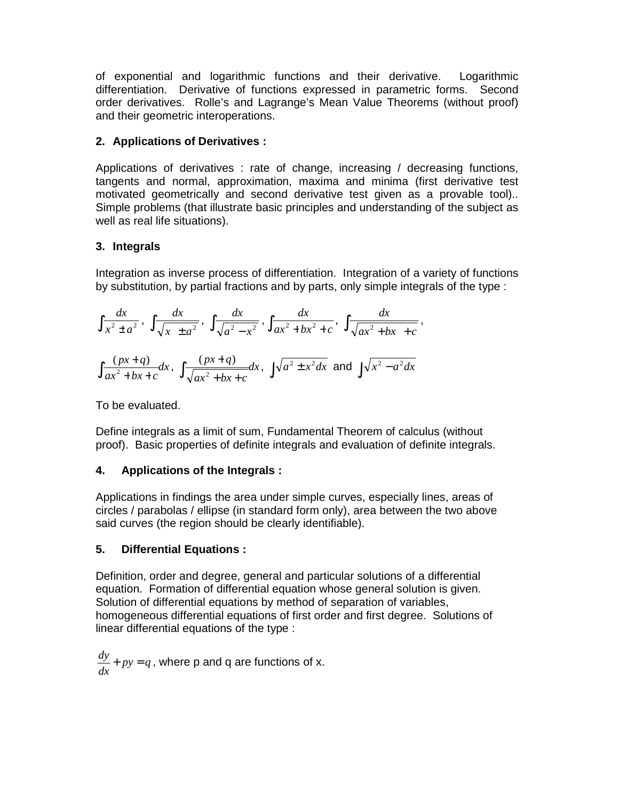of exponential and logarithmic functions and their derivative. Logarithmic differentiation. Derivative of functions expressed in parametric forms. Second order derivatives. Rolle's and Lagrange's Mean Value Theorems (without proof) and their geometric interoperations.

# **2. Applications of Derivatives :**

Applications of derivatives : rate of change, increasing / decreasing functions, tangents and normal, approximation, maxima and minima (first derivative test motivated geometrically and second derivative test given as a provable tool).. Simple problems (that illustrate basic principles and understanding of the subject as well as real life situations).

# **3. Integrals**

Integration as inverse process of differentiation. Integration of a variety of functions by substitution, by partial fractions and by parts, only simple integrals of the type :

$$
\int \frac{dx}{x^2 \pm a^2}, \int \frac{dx}{\sqrt{x \pm a^2}}, \int \frac{dx}{\sqrt{a^2 - x^2}}, \int \frac{dx}{ax^2 + bx^2 + c}, \int \frac{dx}{\sqrt{ax^2 + bx + c}},
$$

$$
\int \frac{(px + q)}{ax^2 + bx + c} dx, \int \frac{(px + q)}{\sqrt{ax^2 + bx + c}} dx, \int \sqrt{a^2 \pm x^2} dx \text{ and } \int \sqrt{x^2 - a^2} dx
$$

To be evaluated.

Define integrals as a limit of sum, Fundamental Theorem of calculus (without proof). Basic properties of definite integrals and evaluation of definite integrals.

# **4. Applications of the Integrals :**

Applications in findings the area under simple curves, especially lines, areas of circles / parabolas / ellipse (in standard form only), area between the two above said curves (the region should be clearly identifiable).

# **5. Differential Equations :**

Definition, order and degree, general and particular solutions of a differential equation. Formation of differential equation whose general solution is given. Solution of differential equations by method of separation of variables, homogeneous differential equations of first order and first degree. Solutions of linear differential equations of the type :

 $py = q$ *dx*  $\frac{dy}{dx}$  +  $py$  =  $q$ , where p and q are functions of x.